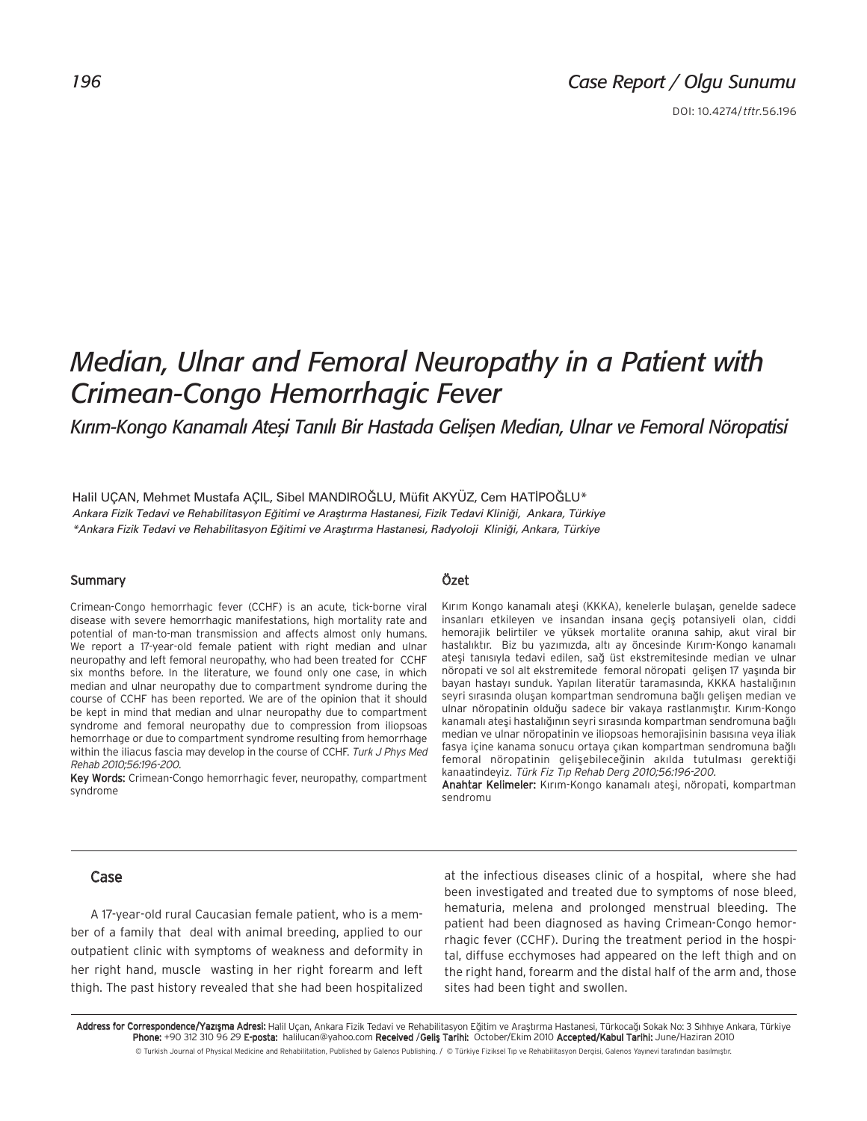# *Median, Ulnar and Femoral Neuropathy in a Patient with Crimean-Congo Hemorrhagic Fever*

Kırım-Kongo Kanamalı Ateşi Tanılı Bir Hastada Gelişen Median, Ulnar ve Femoral Nöropatisi

Halil UÇAN, Mehmet Mustafa AÇIL, Sibel MANDIROĞLU, Müfit AKYÜZ, Cem HATİPOĞLU\* *Ankara Fizik Tedavi ve Rehabilitasyon E¤itimi ve Araflt›rma Hastanesi, Fizik Tedavi Klini¤i, Ankara, Türkiye \*Ankara Fizik Tedavi ve Rehabilitasyon E¤itimi ve Araflt›rma Hastanesi, Radyoloji Klini¤i, Ankara, Türkiye*

### Summary

Crimean-Congo hemorrhagic fever (CCHF) is an acute, tick-borne viral disease with severe hemorrhagic manifestations, high mortality rate and potential of man-to-man transmission and affects almost only humans. We report a 17-year-old female patient with right median and ulnar neuropathy and left femoral neuropathy, who had been treated for CCHF six months before. In the literature, we found only one case, in which median and ulnar neuropathy due to compartment syndrome during the course of CCHF has been reported. We are of the opinion that it should be kept in mind that median and ulnar neuropathy due to compartment syndrome and femoral neuropathy due to compression from iliopsoas hemorrhage or due to compartment syndrome resulting from hemorrhage within the iliacus fascia may develop in the course of CCHF. Turk J Phys Med Rehab 2010;56:196-200.

Key Words: Crimean-Congo hemorrhagic fever, neuropathy, compartment syndrome

# Özet

Kırım Kongo kanamalı ateşi (KKKA), kenelerle bulaşan, genelde sadece insanları etkileyen ve insandan insana geçiş potansiyeli olan, ciddi hemorajik belirtiler ve yüksek mortalite oranına sahip, akut viral bir hastalıktır. Biz bu yazımızda, altı ay öncesinde Kırım-Kongo kanamalı ateşi tanısıyla tedavi edilen, sağ üst ekstremitesinde median ve ulnar nöropati ve sol alt ekstremitede femoral nöropati gelişen 17 yaşında bir bayan hastayı sunduk. Yapılan literatür taramasında, KKKA hastalığının seyri sırasında oluşan kompartman sendromuna bağlı gelişen median ve ulnar nöropatinin olduğu sadece bir vakaya rastlanmıştır. Kırım-Kongo kanamalı ateşi hastalığının seyri sırasında kompartman sendromuna bağlı median ve ulnar nöropatinin ve iliopsoas hemorajisinin basısına veya iliak fasya içine kanama sonucu ortaya çıkan kompartman sendromuna bağlı femoral nöropatinin gelisebileceğinin akılda tutulması gerektiği kanaatindeyiz. Türk Fiz Tıp Rehab Derg 2010;56:196-200.

Anahtar Kelimeler: Kırım-Kongo kanamalı ateşi, nöropati, kompartman sendromu

### Case

A 17-year-old rural Caucasian female patient, who is a member of a family that deal with animal breeding, applied to our outpatient clinic with symptoms of weakness and deformity in her right hand, muscle wasting in her right forearm and left thigh. The past history revealed that she had been hospitalized at the infectious diseases clinic of a hospital, where she had been investigated and treated due to symptoms of nose bleed, hematuria, melena and prolonged menstrual bleeding. The patient had been diagnosed as having Crimean-Congo hemorrhagic fever (CCHF). During the treatment period in the hospital, diffuse ecchymoses had appeared on the left thigh and on the right hand, forearm and the distal half of the arm and, those sites had been tight and swollen.

Address for Correspondence/Yazışma Adresi: Halil Uçan, Ankara Fizik Tedavi ve Rehabilitasyon Eğitim ve Araştırma Hastanesi, Türkocağı Sokak No: 3 Sıhhıye Ankara, Türkiye Phone: +90 312 310 96 29 E-posta: halilucan@yahoo.com Received /Gelis Tarihi: October/Ekim 2010 Accepted/Kabul Tarihi: June/Haziran 2010 © Turkish Journal of Physical Medicine and Rehabilitation, Published by Galenos Publishing. / © Türkiye Fiziksel Tıp ve Rehabilitasyon Dergisi, Galenos Yayınevi tarafından basılmıştır.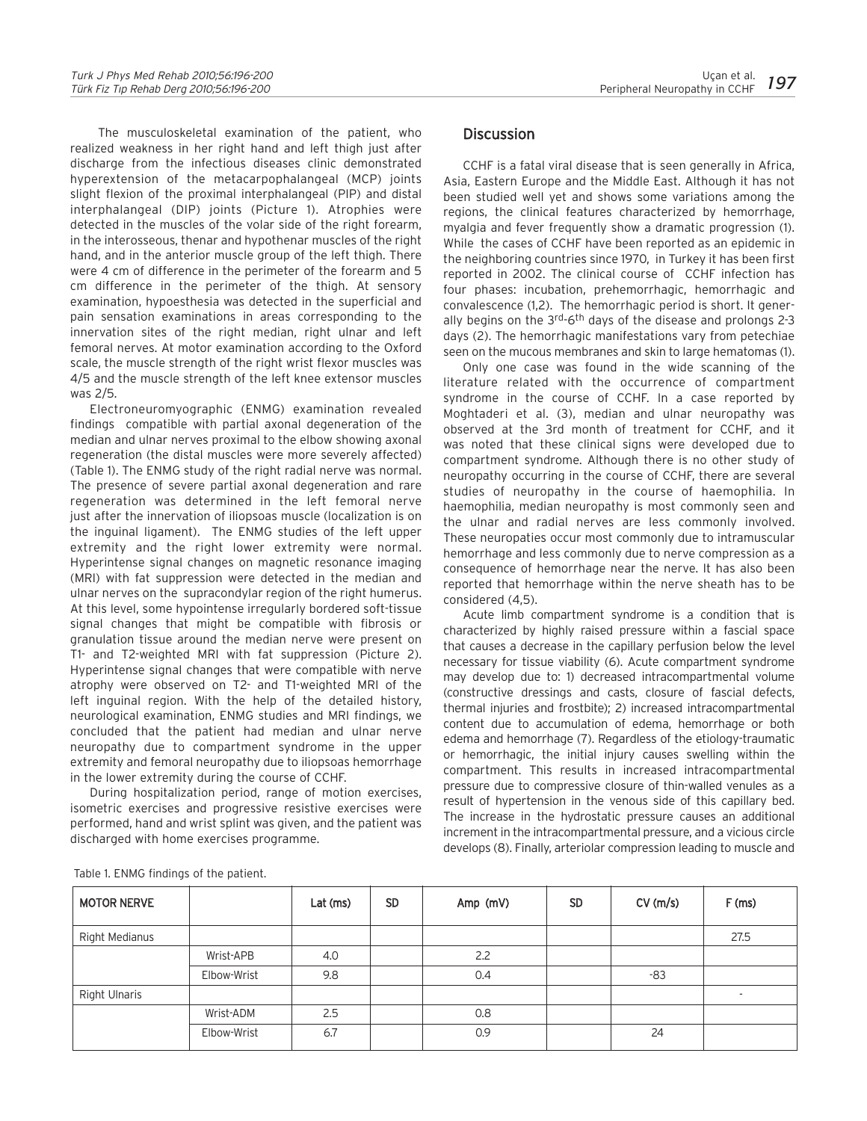The musculoskeletal examination of the patient, who realized weakness in her right hand and left thigh just after discharge from the infectious diseases clinic demonstrated hyperextension of the metacarpophalangeal (MCP) joints slight flexion of the proximal interphalangeal (PIP) and distal interphalangeal (DIP) joints (Picture 1). Atrophies were detected in the muscles of the volar side of the right forearm, in the interosseous, thenar and hypothenar muscles of the right hand, and in the anterior muscle group of the left thigh. There were 4 cm of difference in the perimeter of the forearm and 5 cm difference in the perimeter of the thigh. At sensory examination, hypoesthesia was detected in the superficial and pain sensation examinations in areas corresponding to the innervation sites of the right median, right ulnar and left femoral nerves. At motor examination according to the Oxford scale, the muscle strength of the right wrist flexor muscles was 4/5 and the muscle strength of the left knee extensor muscles was 2/5.

Electroneuromyographic (ENMG) examination revealed findings compatible with partial axonal degeneration of the median and ulnar nerves proximal to the elbow showing axonal regeneration (the distal muscles were more severely affected) (Table 1). The ENMG study of the right radial nerve was normal. The presence of severe partial axonal degeneration and rare regeneration was determined in the left femoral nerve just after the innervation of iliopsoas muscle (localization is on the inguinal ligament). The ENMG studies of the left upper extremity and the right lower extremity were normal. Hyperintense signal changes on magnetic resonance imaging (MRI) with fat suppression were detected in the median and ulnar nerves on the supracondylar region of the right humerus. At this level, some hypointense irregularly bordered soft-tissue signal changes that might be compatible with fibrosis or granulation tissue around the median nerve were present on T1- and T2-weighted MRI with fat suppression (Picture 2). Hyperintense signal changes that were compatible with nerve atrophy were observed on T2- and T1-weighted MRI of the left inguinal region. With the help of the detailed history, neurological examination, ENMG studies and MRI findings, we concluded that the patient had median and ulnar nerve neuropathy due to compartment syndrome in the upper extremity and femoral neuropathy due to iliopsoas hemorrhage in the lower extremity during the course of CCHF.

During hospitalization period, range of motion exercises, isometric exercises and progressive resistive exercises were performed, hand and wrist splint was given, and the patient was discharged with home exercises programme.

# **Discussion**

CCHF is a fatal viral disease that is seen generally in Africa, Asia, Eastern Europe and the Middle East. Although it has not been studied well yet and shows some variations among the regions, the clinical features characterized by hemorrhage, myalgia and fever frequently show a dramatic progression (1). While the cases of CCHF have been reported as an epidemic in the neighboring countries since 1970, in Turkey it has been first reported in 2002. The clinical course of CCHF infection has four phases: incubation, prehemorrhagic, hemorrhagic and convalescence (1,2). The hemorrhagic period is short. It generally begins on the 3<sup>rd</sup>-6<sup>th</sup> days of the disease and prolongs 2-3 days (2). The hemorrhagic manifestations vary from petechiae seen on the mucous membranes and skin to large hematomas (1).

Only one case was found in the wide scanning of the literature related with the occurrence of compartment syndrome in the course of CCHF. In a case reported by Moghtaderi et al. (3), median and ulnar neuropathy was observed at the 3rd month of treatment for CCHF, and it was noted that these clinical signs were developed due to compartment syndrome. Although there is no other study of neuropathy occurring in the course of CCHF, there are several studies of neuropathy in the course of haemophilia. In haemophilia, median neuropathy is most commonly seen and the ulnar and radial nerves are less commonly involved. These neuropaties occur most commonly due to intramuscular hemorrhage and less commonly due to nerve compression as a consequence of hemorrhage near the nerve. It has also been reported that hemorrhage within the nerve sheath has to be  $\text{considered } (4,5)$ .

Acute limb compartment syndrome is a condition that is characterized by highly raised pressure within a fascial space that causes a decrease in the capillary perfusion below the level necessary for tissue viability (6). Acute compartment syndrome may develop due to: 1) decreased intracompartmental volume (constructive dressings and casts, closure of fascial defects, thermal injuries and frostbite); 2) increased intracompartmental content due to accumulation of edema, hemorrhage or both edema and hemorrhage (7). Regardless of the etiology-traumatic or hemorrhagic, the initial injury causes swelling within the compartment. This results in increased intracompartmental pressure due to compressive closure of thin-walled venules as a result of hypertension in the venous side of this capillary bed. The increase in the hydrostatic pressure causes an additional increment in the intracompartmental pressure, and a vicious circle develops (8). Finally, arteriolar compression leading to muscle and

| <b>MOTOR NERVE</b> |             | Lat (ms) | <b>SD</b> | Amp (mV) | <b>SD</b> | CV(m/s) | F(ms) |
|--------------------|-------------|----------|-----------|----------|-----------|---------|-------|
| Right Medianus     |             |          |           |          |           |         | 27.5  |
|                    | Wrist-APB   | 4.0      |           | 2.2      |           |         |       |
|                    | Elbow-Wrist | 9.8      |           | 0.4      |           | -83     |       |
| Right Ulnaris      |             |          |           |          |           |         |       |
|                    | Wrist-ADM   | 2.5      |           | 0.8      |           |         |       |
|                    | Elbow-Wrist | 6.7      |           | 0.9      |           | 24      |       |
|                    |             |          |           |          |           |         |       |

Table 1. ENMG findings of the patient.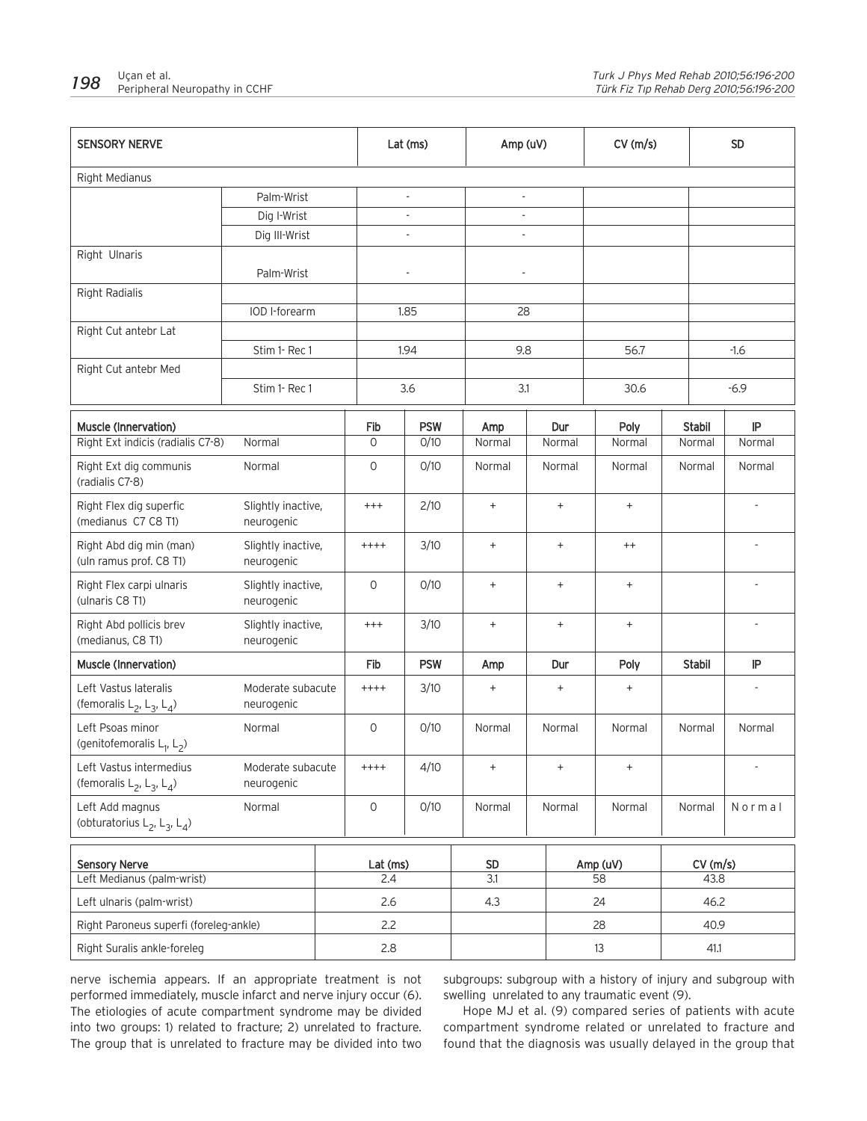| <b>SENSORY NERVE</b>                                                                           |                                  |                 | Lat (ms)      |                          |           | Amp (uV)                 |                | CV(m/s)                          |                 | <b>SD</b>     |                          |
|------------------------------------------------------------------------------------------------|----------------------------------|-----------------|---------------|--------------------------|-----------|--------------------------|----------------|----------------------------------|-----------------|---------------|--------------------------|
| Right Medianus                                                                                 |                                  |                 |               |                          |           |                          |                |                                  |                 |               |                          |
|                                                                                                | Palm-Wrist                       |                 | $\mathcal{L}$ |                          |           | $\overline{\phantom{a}}$ |                |                                  |                 |               |                          |
|                                                                                                | Dig I-Wrist                      |                 |               | $\overline{\phantom{a}}$ |           | $\blacksquare$           |                |                                  |                 |               |                          |
|                                                                                                | Dig III-Wrist                    |                 |               |                          |           |                          |                |                                  |                 |               |                          |
| Right Ulnaris<br>Palm-Wrist                                                                    |                                  |                 |               | ÷,                       |           | $\sim$                   |                |                                  |                 |               |                          |
| Right Radialis                                                                                 |                                  |                 |               |                          |           |                          |                |                                  |                 |               |                          |
|                                                                                                | IOD I-forearm                    |                 | 1.85          |                          |           | 28                       |                |                                  |                 |               |                          |
| Right Cut antebr Lat                                                                           |                                  |                 |               |                          |           |                          |                |                                  |                 |               |                          |
|                                                                                                | Stim 1- Rec 1                    |                 | 1.94          |                          |           | 9.8                      |                | 56.7                             |                 | $-1.6$        |                          |
| Right Cut antebr Med                                                                           |                                  |                 |               |                          |           |                          |                |                                  |                 |               |                          |
|                                                                                                | Stim 1- Rec 1                    |                 | 3.6           |                          |           | 3.1                      |                | 30.6                             |                 | $-6.9$        |                          |
| Muscle (Innervation)                                                                           |                                  |                 | Fib           | <b>PSW</b>               | Amp       |                          | Dur            | Poly                             |                 | <b>Stabil</b> | IP                       |
| Right Ext indicis (radialis C7-8)                                                              | Normal                           |                 | $\circ$       | O/10                     | Normal    |                          | Normal         | Normal                           |                 | Normal        | Normal                   |
| Right Ext dig communis<br>Normal<br>(radialis C7-8)                                            |                                  |                 | $\circ$       | O/10                     | Normal    |                          | Normal         | Normal                           | Normal          |               | Normal                   |
| Right Flex dig superfic<br>Slightly inactive,<br>(medianus C7 C8 T1)<br>neurogenic             |                                  |                 | $^{+++}$      | 2/10                     | $\ddot{}$ |                          | $+$            | $\begin{array}{c} + \end{array}$ |                 |               |                          |
| Right Abd dig min (man)<br>(uln ramus prof. C8 T1)                                             | Slightly inactive,<br>neurogenic |                 | $+++++$       | 3/10                     | $\ddot{}$ |                          | $\ddot{}$      | $^{++}$                          |                 |               |                          |
| Right Flex carpi ulnaris<br>Slightly inactive,<br>(ulnaris C8 T1)<br>neurogenic                |                                  |                 | $\circ$       | O/10                     | $+$       |                          | $+$            | $\begin{array}{c} + \end{array}$ |                 |               |                          |
| Right Abd pollicis brev<br>Slightly inactive,<br>(medianus, C8 T1)<br>neurogenic               |                                  |                 | $^{+++}$      | 3/10                     | $+$       |                          | $^+$           | $\begin{array}{c} + \end{array}$ |                 |               | $\overline{\phantom{a}}$ |
| Muscle (Innervation)                                                                           |                                  |                 | Fib           | <b>PSW</b>               | Amp       |                          | Dur            | Poly                             |                 | <b>Stabil</b> | IP                       |
| Left Vastus lateralis<br>Moderate subacute<br>(femoralis $L_2$ , $L_3$ , $L_4$ )<br>neurogenic |                                  |                 | $+++++$       | 3/10                     | $\ddot{}$ |                          | $+$            | $\begin{array}{c} + \end{array}$ |                 |               |                          |
| Left Psoas minor<br>Normal<br>(genitofemoralis $L_1$ , $L_2$ )                                 |                                  |                 | 0             | O/10                     | Normal    |                          | Normal         | Normal                           |                 | Normal        | Normal                   |
| Left Vastus intermedius<br>(femoralis $L_2$ , $L_3$ , $L_4$ )                                  | Moderate subacute<br>neurogenic  |                 | $+++++$       | 4/10                     | $+$       |                          | $+$            | $+$                              |                 |               |                          |
| Left Add magnus<br>Normal<br>(obturatorius $L_2$ , $L_3$ , $L_4$ )                             |                                  |                 | $\mathsf{O}$  | O/10                     | Normal    |                          | Normal         | Normal                           |                 | Normal        | Normal                   |
|                                                                                                |                                  |                 |               |                          |           |                          |                |                                  |                 |               |                          |
| <b>Sensory Nerve</b><br>Left Medianus (palm-wrist)                                             |                                  | Lat (ms)<br>2.4 |               | SD                       | 3.1       |                          | Amp (uV)<br>58 |                                  | CV(m/s)<br>43.8 |               |                          |
|                                                                                                |                                  |                 |               |                          |           |                          |                |                                  |                 |               |                          |
| Left ulnaris (palm-wrist)                                                                      |                                  |                 | 2.6           |                          |           | 4.3                      |                | 24                               |                 | 46.2          |                          |
| Right Paroneus superfi (foreleg-ankle)                                                         |                                  |                 |               | 2.2                      |           |                          |                | 28                               |                 | 40.9          |                          |
| Right Suralis ankle-foreleg                                                                    |                                  |                 | 2.8           |                          |           |                          |                | 13                               |                 | 41.1          |                          |

nerve ischemia appears. If an appropriate treatment is not performed immediately, muscle infarct and nerve injury occur (6). The etiologies of acute compartment syndrome may be divided into two groups: 1) related to fracture; 2) unrelated to fracture. The group that is unrelated to fracture may be divided into two

subgroups: subgroup with a history of injury and subgroup with swelling unrelated to any traumatic event (9).

Hope MJ et al. (9) compared series of patients with acute compartment syndrome related or unrelated to fracture and found that the diagnosis was usually delayed in the group that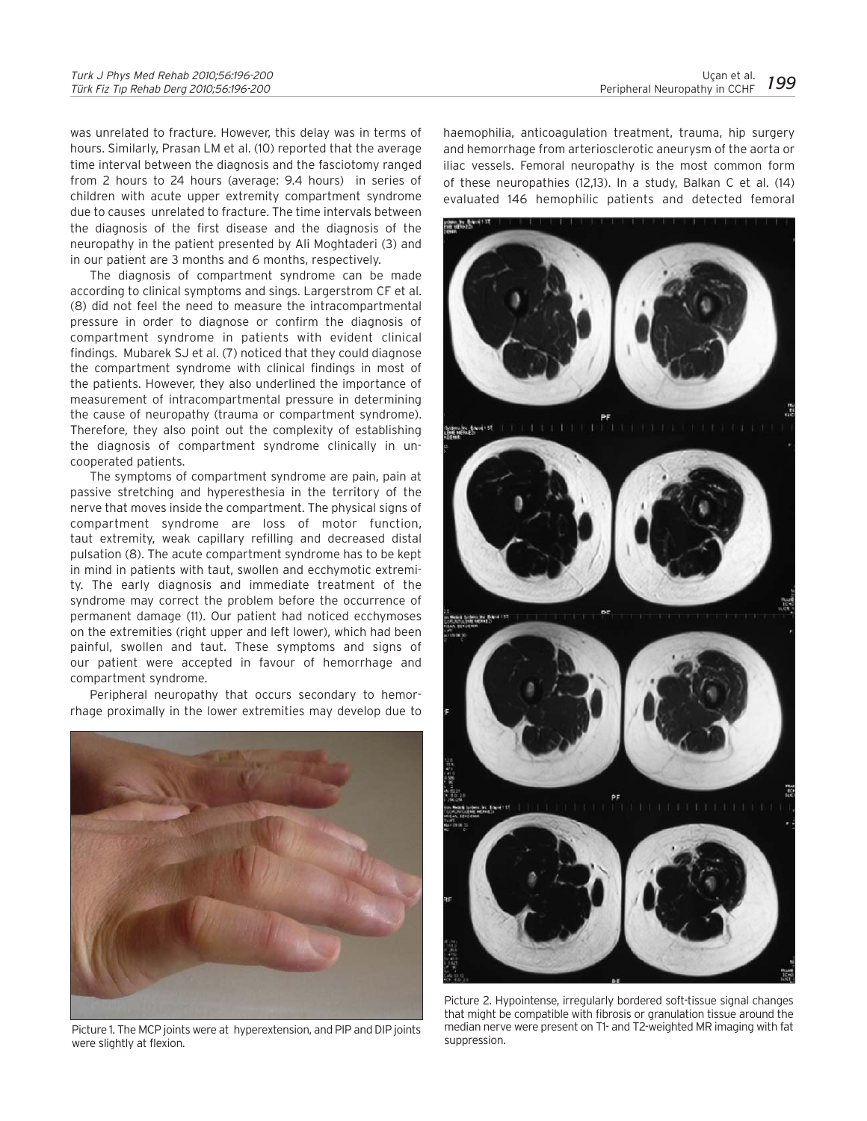was unrelated to fracture. However, this delay was in terms of hours. Similarly, Prasan LM et al. (10) reported that the average time interval between the diagnosis and the fasciotomy ranged from 2 hours to 24 hours (average: 9.4 hours) in series of children with acute upper extremity compartment syndrome due to causes unrelated to fracture. The time intervals between the diagnosis of the first disease and the diagnosis of the neuropathy in the patient presented by Ali Moghtaderi (3) and in our patient are 3 months and 6 months, respectively.

The diagnosis of compartment syndrome can be made according to clinical symptoms and sings. Largerstrom CF et al. (8) did not feel the need to measure the intracompartmental pressure in order to diagnose or confirm the diagnosis of compartment syndrome in patients with evident clinical findings. Mubarek SJ et al. (7) noticed that they could diagnose the compartment syndrome with clinical findings in most of the patients. However, they also underlined the importance of measurement of intracompartmental pressure in determining the cause of neuropathy (trauma or compartment syndrome). Therefore, they also point out the complexity of establishing the diagnosis of compartment syndrome clinically in uncooperated patients.

The symptoms of compartment syndrome are pain, pain at passive stretching and hyperesthesia in the territory of the nerve that moves inside the compartment. The physical signs of compartment syndrome are loss of motor function, taut extremity, weak capillary refilling and decreased distal pulsation (8). The acute compartment syndrome has to be kept in mind in patients with taut, swollen and ecchymotic extremity. The early diagnosis and immediate treatment of the syndrome may correct the problem before the occurrence of permanent damage (11). Our patient had noticed ecchymoses on the extremities (right upper and left lower), which had been painful, swollen and taut. These symptoms and signs of our patient were accepted in favour of hemorrhage and compartment syndrome.

Peripheral neuropathy that occurs secondary to hemorrhage proximally in the lower extremities may develop due to



Picture 1. The MCP joints were at hyperextension, and PIP and DIP joints were slightly at flexion.

haemophilia, anticoagulation treatment, trauma, hip surgery and hemorrhage from arteriosclerotic aneurysm of the aorta or iliac vessels. Femoral neuropathy is the most common form of these neuropathies (12,13). In a study, Balkan C et al. (14) evaluated 146 hemophilic patients and detected femoral



Picture 2. Hypointense, irregularly bordered soft-tissue signal changes that might be compatible with fibrosis or granulation tissue around the median nerve were present on T1- and T2-weighted MR imaging with fat suppression.